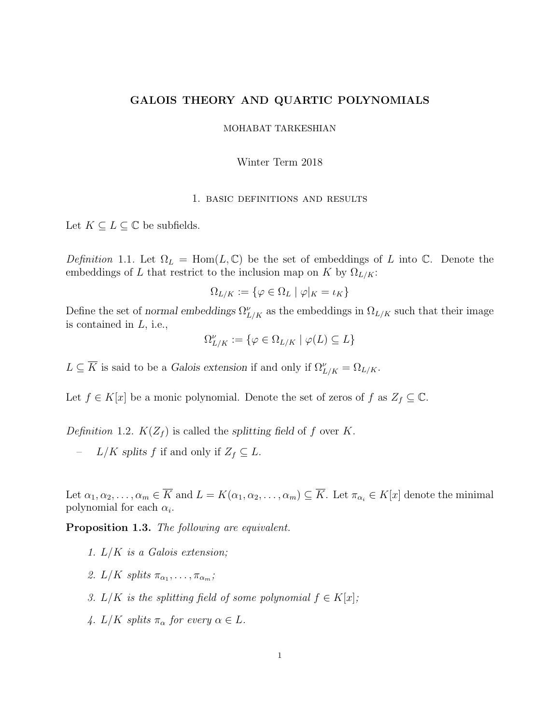# GALOIS THEORY AND QUARTIC POLYNOMIALS

## MOHABAT TARKESHIAN

#### Winter Term 2018

#### 1. basic definitions and results

Let  $K \subseteq L \subseteq \mathbb{C}$  be subfields.

Definition 1.1. Let  $\Omega_L = \text{Hom}(L, \mathbb{C})$  be the set of embeddings of L into  $\mathbb{C}$ . Denote the embeddings of L that restrict to the inclusion map on K by  $\Omega_{L/K}$ :

$$
\Omega_{L/K} := \{ \varphi \in \Omega_L \mid \varphi|_K = \iota_K \}
$$

Define the set of normal embeddings  $\Omega_{L/K}^{\nu}$  as the embeddings in  $\Omega_{L/K}$  such that their image is contained in L, i.e.,

$$
\Omega^\nu_{L/K}:=\{\varphi\in\Omega_{L/K}\mid \varphi(L)\subseteq L\}
$$

 $L \subseteq \overline{K}$  is said to be a Galois extension if and only if  $\Omega_{L/K}^{\nu} = \Omega_{L/K}$ .

Let  $f \in K[x]$  be a monic polynomial. Denote the set of zeros of f as  $Z_f \subseteq \mathbb{C}$ .

Definition 1.2.  $K(Z_f)$  is called the splitting field of f over K.

 $L/K$  splits f if and only if  $Z_f \subseteq L$ .

Let  $\alpha_1, \alpha_2, \ldots, \alpha_m \in \overline{K}$  and  $L = K(\alpha_1, \alpha_2, \ldots, \alpha_m) \subseteq \overline{K}$ . Let  $\pi_{\alpha_i} \in K[x]$  denote the minimal polynomial for each  $\alpha_i$ .

Proposition 1.3. The following are equivalent.

- 1.  $L/K$  is a Galois extension;
- 2.  $L/K$  splits  $\pi_{\alpha_1}, \ldots, \pi_{\alpha_m}$ ;
- 3. L/K is the splitting field of some polynomial  $f \in K[x]$ ;
- 4.  $L/K$  splits  $\pi_{\alpha}$  for every  $\alpha \in L$ .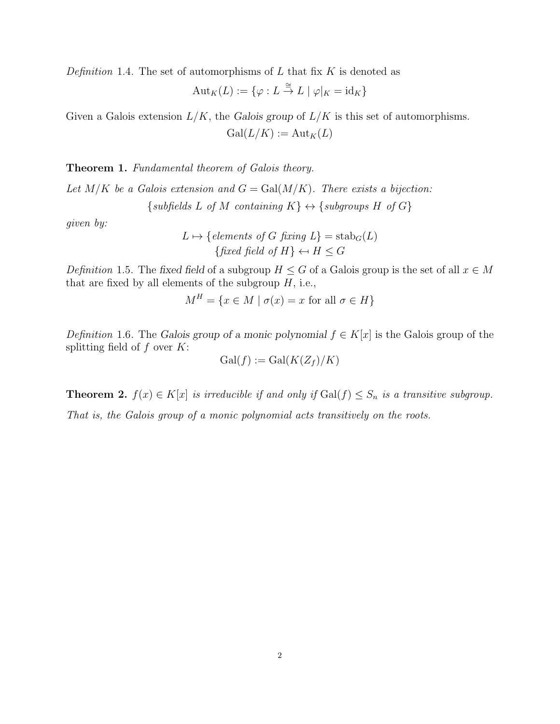Definition 1.4. The set of automorphisms of  $L$  that fix  $K$  is denoted as

$$
Aut_K(L) := \{ \varphi : L \stackrel{\cong}{\to} L \mid \varphi|_K = id_K \}
$$

Given a Galois extension  $L/K$ , the Galois group of  $L/K$  is this set of automorphisms.  $Gal(L/K) := Aut_K(L)$ 

<span id="page-1-1"></span>Theorem 1. Fundamental theorem of Galois theory.

Let  $M/K$  be a Galois extension and  $G = \text{Gal}(M/K)$ . There exists a bijection:  $\{subfields\ L\ of\ M\ containing\ K\} \leftrightarrow \{subgroups\ H\ of\ G\}$ 

given by:

 $L \mapsto \{elements \ of \ G \ fixing \ L\} = \operatorname{stab}_G(L)$ {fixed field of H}  $\leftarrow$  H  $\leq$  G

Definition 1.5. The fixed field of a subgroup  $H \leq G$  of a Galois group is the set of all  $x \in M$ that are fixed by all elements of the subgroup  $H$ , i.e.,

$$
M^H = \{ x \in M \mid \sigma(x) = x \text{ for all } \sigma \in H \}
$$

Definition 1.6. The Galois group of a monic polynomial  $f \in K[x]$  is the Galois group of the splitting field of  $f$  over  $K$ :

$$
\mathrm{Gal}(f) := \mathrm{Gal}(K(Z_f)/K)
$$

<span id="page-1-0"></span>**Theorem 2.**  $f(x) \in K[x]$  is irreducible if and only if  $Gal(f) \leq S_n$  is a transitive subgroup.

That is, the Galois group of a monic polynomial acts transitively on the roots.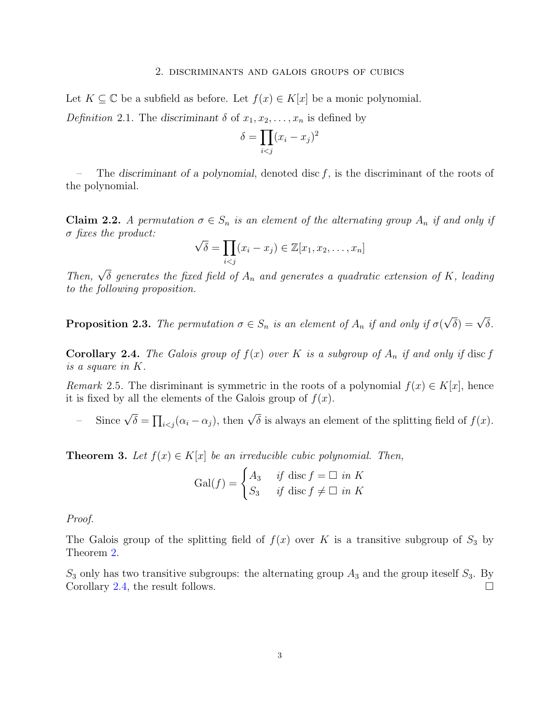### 2. discriminants and galois groups of cubics

Let  $K \subseteq \mathbb{C}$  be a subfield as before. Let  $f(x) \in K[x]$  be a monic polynomial.

Definition 2.1. The discriminant  $\delta$  of  $x_1, x_2, \ldots, x_n$  is defined by

$$
\delta = \prod_{i < j} (x_i - x_j)^2
$$

The discriminant of a polynomial, denoted disc  $f$ , is the discriminant of the roots of the polynomial.

**Claim 2.2.** A permutation  $\sigma \in S_n$  is an element of the alternating group  $A_n$  if and only if  $\sigma$  fixes the product: √

$$
\sqrt{\delta} = \prod_{i < j} (x_i - x_j) \in \mathbb{Z}[x_1, x_2, \dots, x_n]
$$

Then,  $\sqrt{\delta}$  generates the fixed field of  $A_n$  and generates a quadratic extension of K, leading to the following proposition.

**Proposition 2.3.** The permutation  $\sigma \in S_n$  is an element of  $A_n$  if and only if  $\sigma$  $\sqrt{\delta}$ ) =  $\sqrt{\delta}$ .

<span id="page-2-0"></span>**Corollary 2.4.** The Galois group of  $f(x)$  over K is a subgroup of  $A_n$  if and only if disc f is a square in K.

Remark 2.5. The disriminant is symmetric in the roots of a polynomial  $f(x) \in K[x]$ , hence it is fixed by all the elements of the Galois group of  $f(x)$ .

- Since  $\sqrt{\delta} = \prod_{i < j} (\alpha_i - \alpha_j)$ , then  $\sqrt{\delta}$  is always an element of the splitting field of  $f(x)$ .

<span id="page-2-1"></span>**Theorem 3.** Let  $f(x) \in K[x]$  be an irreducible cubic polynomial. Then,

$$
\text{Gal}(f) = \begin{cases} A_3 & \text{if } \text{disc } f = \square \text{ in } K \\ S_3 & \text{if } \text{disc } f \neq \square \text{ in } K \end{cases}
$$

Proof.

The Galois group of the splitting field of  $f(x)$  over K is a transitive subgroup of  $S_3$  by Theorem [2.](#page-1-0)

 $S_3$  only has two transitive subgroups: the alternating group  $A_3$  and the group iteself  $S_3$ . By Corollary [2.4,](#page-2-0) the result follows.  $\Box$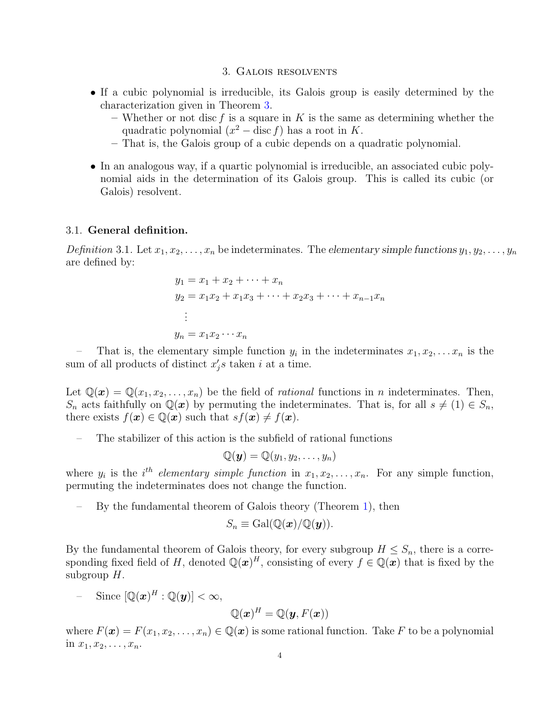### 3. Galois resolvents

- If a cubic polynomial is irreducible, its Galois group is easily determined by the characterization given in Theorem [3.](#page-2-1)
	- Whether or not disc f is a square in K is the same as determining whether the quadratic polynomial  $(x^2 - \text{disc } f)$  has a root in K.
	- That is, the Galois group of a cubic depends on a quadratic polynomial.
- In an analogous way, if a quartic polynomial is irreducible, an associated cubic polynomial aids in the determination of its Galois group. This is called its cubic (or Galois) resolvent.

### 3.1. General definition.

Definition 3.1. Let  $x_1, x_2, \ldots, x_n$  be indeterminates. The elementary simple functions  $y_1, y_2, \ldots, y_n$ are defined by:

$$
y_1 = x_1 + x_2 + \dots + x_n
$$
  
\n
$$
y_2 = x_1 x_2 + x_1 x_3 + \dots + x_2 x_3 + \dots + x_{n-1} x_n
$$
  
\n
$$
\vdots
$$
  
\n
$$
y_n = x_1 x_2 \dots x_n
$$

- That is, the elementary simple function  $y_i$  in the indeterminates  $x_1, x_2, \ldots x_n$  is the sum of all products of distinct  $x'_j s$  taken i at a time.

Let  $\mathbb{Q}(\bm{x}) = \mathbb{Q}(x_1, x_2, \ldots, x_n)$  be the field of *rational* functions in *n* indeterminates. Then,  $S_n$  acts faithfully on  $\mathbb{Q}(\boldsymbol{x})$  by permuting the indeterminates. That is, for all  $s \neq (1) \in S_n$ , there exists  $f(\mathbf{x}) \in \mathbb{Q}(\mathbf{x})$  such that  $sf(\mathbf{x}) \neq f(\mathbf{x})$ .

– The stabilizer of this action is the subfield of rational functions

$$
\mathbb{Q}(\boldsymbol{y}) = \mathbb{Q}(y_1, y_2, \ldots, y_n)
$$

where  $y_i$  is the i<sup>th</sup> elementary simple function in  $x_1, x_2, \ldots, x_n$ . For any simple function, permuting the indeterminates does not change the function.

– By the fundamental theorem of Galois theory (Theorem [1\)](#page-1-1), then

$$
S_n \equiv \mathrm{Gal}(\mathbb{Q}(\boldsymbol{x})/\mathbb{Q}(\boldsymbol{y})).
$$

By the fundamental theorem of Galois theory, for every subgroup  $H \leq S_n$ , there is a corresponding fixed field of H, denoted  $\mathbb{Q}(x)^H$ , consisting of every  $f \in \mathbb{Q}(x)$  that is fixed by the subgroup  $H$ .

$$
- \quad \text{Since } [\mathbb{Q}(\boldsymbol{x})^H : \mathbb{Q}(\boldsymbol{y})] < \infty,
$$

$$
\mathbb{Q}(\boldsymbol{x})^H=\mathbb{Q}(\boldsymbol{y},F(\boldsymbol{x}))
$$

where  $F(\boldsymbol{x}) = F(x_1, x_2, \dots, x_n) \in \mathbb{Q}(\boldsymbol{x})$  is some rational function. Take F to be a polynomial in  $x_1, x_2, \ldots, x_n$ .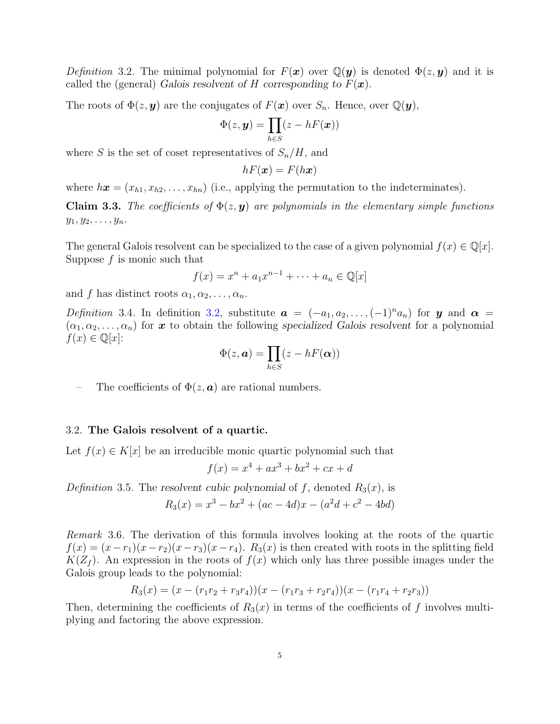<span id="page-4-0"></span>Definition 3.2. The minimal polynomial for  $F(x)$  over  $\mathbb{Q}(y)$  is denoted  $\Phi(z, y)$  and it is called the (general) Galois resolvent of H corresponding to  $F(\mathbf{x})$ .

The roots of  $\Phi(z, y)$  are the conjugates of  $F(x)$  over  $S_n$ . Hence, over  $\mathbb{Q}(y)$ ,

$$
\Phi(z,\boldsymbol{y})=\prod_{h\in S}(z-hF(\boldsymbol{x}))
$$

where S is the set of coset representatives of  $S_n/H$ , and

$$
hF(\boldsymbol{x}) = F(h\boldsymbol{x})
$$

where  $h\mathbf{x} = (x_{h1}, x_{h2}, \dots, x_{hn})$  (i.e., applying the permutation to the indeterminates).

**Claim 3.3.** The coefficients of  $\Phi(z, y)$  are polynomials in the elementary simple functions  $y_1, y_2, \ldots, y_n$ .

The general Galois resolvent can be specialized to the case of a given polynomial  $f(x) \in \mathbb{Q}[x]$ . Suppose  $f$  is monic such that

$$
f(x) = x^n + a_1 x^{n-1} + \dots + a_n \in \mathbb{Q}[x]
$$

and f has distinct roots  $\alpha_1, \alpha_2, \ldots, \alpha_n$ .

Definition 3.4. In definition [3.2,](#page-4-0) substitute  $a = (-a_1, a_2, \ldots, (-1)^n a_n)$  for y and  $\alpha =$  $(\alpha_1, \alpha_2, \ldots, \alpha_n)$  for x to obtain the following specialized Galois resolvent for a polynomial  $f(x) \in \mathbb{Q}[x]$ :

$$
\Phi(z, \mathbf{a}) = \prod_{h \in S} (z - hF(\mathbf{\alpha}))
$$

The coefficients of  $\Phi(z, a)$  are rational numbers.

## 3.2. The Galois resolvent of a quartic.

Let  $f(x) \in K[x]$  be an irreducible monic quartic polynomial such that

$$
f(x) = x^4 + ax^3 + bx^2 + cx + d
$$

Definition 3.5. The resolvent cubic polynomial of f, denoted  $R_3(x)$ , is  $R_3(x) = x^3 - bx^2 + (ac - 4d)x - (a^2d + c^2 - 4bd)$ 

Remark 3.6. The derivation of this formula involves looking at the roots of the quartic  $f(x) = (x - r_1)(x - r_2)(x - r_3)(x - r_4)$ .  $R_3(x)$  is then created with roots in the splitting field  $K(Z_f)$ . An expression in the roots of  $f(x)$  which only has three possible images under the Galois group leads to the polynomial:

$$
R_3(x) = (x - (r_1r_2 + r_3r_4))(x - (r_1r_3 + r_2r_4))(x - (r_1r_4 + r_2r_3))
$$

Then, determining the coefficients of  $R_3(x)$  in terms of the coefficients of f involves multiplying and factoring the above expression.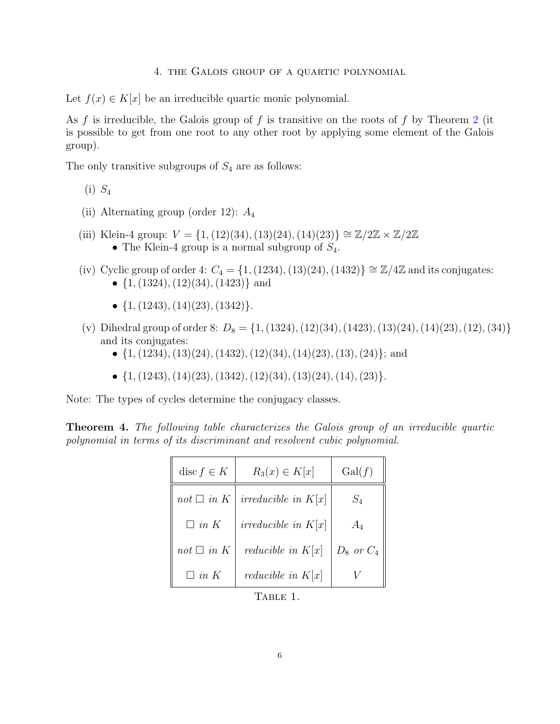### 4. the Galois group of a quartic polynomial

Let  $f(x) \in K[x]$  be an irreducible quartic monic polynomial.

As f is irreducible, the Galois group of f is transitive on the roots of f by Theorem [2](#page-1-0) (it is possible to get from one root to any other root by applying some element of the Galois group).

The only transitive subgroups of  $S_4$  are as follows:

- $(i)$   $S_4$
- (ii) Alternating group (order 12):  $A_4$
- (iii) Klein-4 group:  $V = \{1, (12)(34), (13)(24), (14)(23)\} \cong \mathbb{Z}/2\mathbb{Z} \times \mathbb{Z}/2\mathbb{Z}$ • The Klein-4 group is a normal subgroup of  $S_4$ .
- (iv) Cyclic group of order 4:  $C_4 = \{1, (1234), (13)(24), (1432)\}\cong \mathbb{Z}/4\mathbb{Z}$  and its conjugates: •  $\{1, (1324), (12)(34), (1423)\}\$  and
	- $\{1, (1243), (14)(23), (1342)\}.$
- (v) Dihedral group of order 8:  $D_8 = \{1, (1324), (12)(34), (1423), (13)(24), (14)(23), (12), (34)\}\$ and its conjugates:
	- $\{1,(1234),(13)(24),(1432),(12)(34),(14)(23),(13),(24)\}$ ; and
	- $\{1, (1243), (14)(23), (1342), (12)(34), (13)(24), (14), (23)\}.$

Note: The types of cycles determine the conjugacy classes.

<span id="page-5-0"></span>Theorem 4. The following table characterizes the Galois group of an irreducible quartic polynomial in terms of its discriminant and resolvent cubic polynomial.

| disc $f \in K$  | $R_3(x) \in K[x]$          | Gal(f)         |
|-----------------|----------------------------|----------------|
| $not \Box$ in K | irreducible in $K[x]$      | $S_4$          |
| $\Box$ in K     | irreducible in $K[x]$      | $A_4$          |
| $not \Box$ in K | <i>reducible in</i> $K[x]$ | $D_8$ or $C_4$ |
| $\Box$ in K     | <i>reducible in</i> $K[x]$ |                |

<span id="page-5-1"></span>Table 1.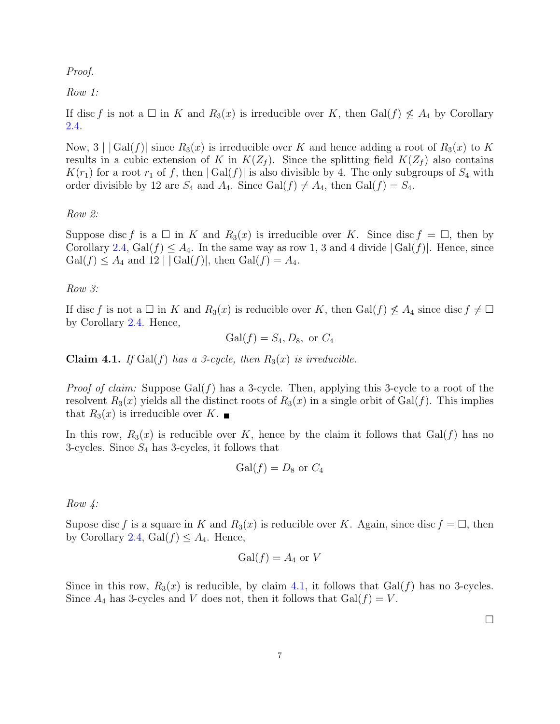## Proof.

# Row 1:

If disc f is not a  $\Box$  in K and  $R_3(x)$  is irreducible over K, then Gal(f)  $\nleq A_4$  by Corollary [2.4.](#page-2-0)

Now,  $3 \mid |Gal(f)|$  since  $R_3(x)$  is irreducible over K and hence adding a root of  $R_3(x)$  to K results in a cubic extension of K in  $K(Z_f)$ . Since the splitting field  $K(Z_f)$  also contains  $K(r_1)$  for a root  $r_1$  of f, then  $| Gal(f)|$  is also divisible by 4. The only subgroups of  $S_4$  with order divisible by 12 are  $S_4$  and  $A_4$ . Since Gal(f)  $\neq A_4$ , then Gal(f) =  $S_4$ .

Row 2:

Suppose disc f is a  $\Box$  in K and  $R_3(x)$  is irreducible over K. Since disc  $f = \Box$ , then by Corollary [2.4,](#page-2-0)  $Gal(f) \leq A_4$ . In the same way as row 1, 3 and 4 divide  $|Gal(f)|$ . Hence, since  $Gal(f) \leq A_4$  and  $12 \mid |Gal(f)|$ , then  $Gal(f) = A_4$ .

Row 3:

If disc f is not a  $\Box$  in K and  $R_3(x)$  is reducible over K, then  $Gal(f) \nleq A_4$  since disc  $f \neq \Box$ by Corollary [2.4.](#page-2-0) Hence,

$$
Gal(f) = S_4, D_8, \text{ or } C_4
$$

<span id="page-6-0"></span>**Claim 4.1.** If Gal(f) has a 3-cycle, then  $R_3(x)$  is irreducible.

*Proof of claim:* Suppose  $Gal(f)$  has a 3-cycle. Then, applying this 3-cycle to a root of the resolvent  $R_3(x)$  yields all the distinct roots of  $R_3(x)$  in a single orbit of Gal(f). This implies that  $R_3(x)$  is irreducible over K.

In this row,  $R_3(x)$  is reducible over K, hence by the claim it follows that  $Gal(f)$  has no 3-cycles. Since  $S_4$  has 3-cycles, it follows that

$$
\mathrm{Gal}(f) = D_8 \text{ or } C_4
$$

Row 4:

Supose disc f is a square in K and  $R_3(x)$  is reducible over K. Again, since disc  $f = \Box$ , then by Corollary [2.4,](#page-2-0)  $Gal(f) \leq A_4$ . Hence,

$$
\mathrm{Gal}(f)=A_4 \text{ or } V
$$

Since in this row,  $R_3(x)$  is reducible, by claim [4.1,](#page-6-0) it follows that  $Gal(f)$  has no 3-cycles. Since  $A_4$  has 3-cycles and V does not, then it follows that  $Gal(f) = V$ .

 $\Box$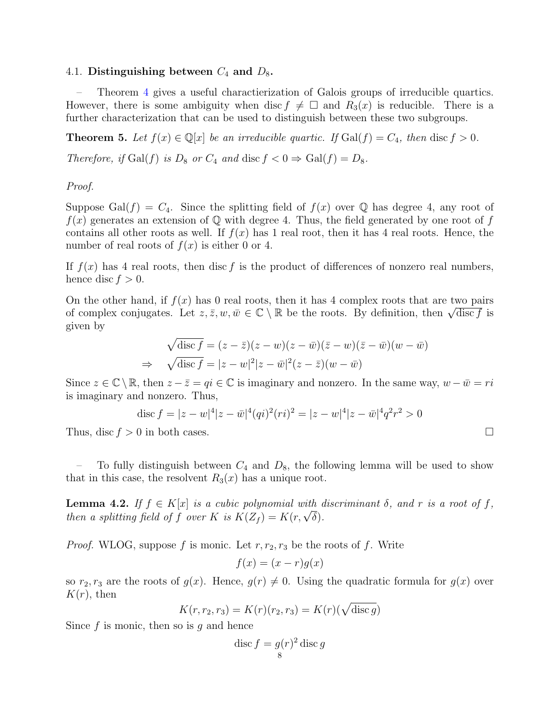## 4.1. Distinguishing between  $C_4$  and  $D_8$ .

– Theorem [4](#page-5-0) gives a useful charactierization of Galois groups of irreducible quartics. However, there is some ambiguity when disc  $f \neq \Box$  and  $R_3(x)$  is reducible. There is a further characterization that can be used to distinguish between these two subgroups.

<span id="page-7-1"></span>**Theorem 5.** Let  $f(x) \in \mathbb{Q}[x]$  be an irreducible quartic. If  $Gal(f) = C_4$ , then disc  $f > 0$ . Therefore, if  $Gal(f)$  is  $D_8$  or  $C_4$  and  $disc f < 0 \Rightarrow Gal(f) = D_8$ .

# Proof.

Suppose Gal(f) =  $C_4$ . Since the splitting field of  $f(x)$  over Q has degree 4, any root of  $f(x)$  generates an extension of Q with degree 4. Thus, the field generated by one root of f contains all other roots as well. If  $f(x)$  has 1 real root, then it has 4 real roots. Hence, the number of real roots of  $f(x)$  is either 0 or 4.

If  $f(x)$  has 4 real roots, then disc f is the product of differences of nonzero real numbers, hence disc  $f > 0$ .

On the other hand, if  $f(x)$  has 0 real roots, then it has 4 complex roots that are two pairs On the other hand, if  $f(x)$  has 0 real roots, then it has 4 complex roots that are two pairs<br>of complex conjugates. Let  $z, \bar{z}, w, \bar{w} \in \mathbb{C} \setminus \mathbb{R}$  be the roots. By definition, then  $\sqrt{\text{disc } f}$  is given by

$$
\sqrt{\operatorname{disc} f} = (z - \bar{z})(z - w)(z - \bar{w})(\bar{z} - w)(\bar{z} - \bar{w})(w - \bar{w})
$$
  
\n
$$
\Rightarrow \sqrt{\operatorname{disc} f} = |z - w|^2 |z - \bar{w}|^2 (z - \bar{z})(w - \bar{w})
$$

Since  $z \in \mathbb{C} \setminus \mathbb{R}$ , then  $z - \overline{z} = qi \in \mathbb{C}$  is imaginary and nonzero. In the same way,  $w - \overline{w} = ri$ is imaginary and nonzero. Thus,

$$
\operatorname{disc} f = |z - w|^4 |z - \bar{w}|^4 (qi)^2 (ri)^2 = |z - w|^4 |z - \bar{w}|^4 q^2 r^2 > 0
$$

Thus, disc  $f > 0$  in both cases.

To fully distinguish between  $C_4$  and  $D_8$ , the following lemma will be used to show that in this case, the resolvent  $R_3(x)$  has a unique root.

<span id="page-7-0"></span>**Lemma 4.2.** If  $f \in K[x]$  is a cubic polynomial with discriminant  $\delta$ , and r is a root of f, **Lemma 4.2.** If  $J \in \mathbb{N}[x]$  is a cuoic polynomial with a then a splitting field of f over K is  $K(Z_f) = K(r, \sqrt{\delta}).$ 

*Proof.* WLOG, suppose f is monic. Let  $r, r_2, r_3$  be the roots of f. Write

$$
f(x) = (x - r)g(x)
$$

so  $r_2, r_3$  are the roots of  $g(x)$ . Hence,  $g(r) \neq 0$ . Using the quadratic formula for  $g(x)$  over  $K(r)$ , then

$$
K(r, r_2, r_3) = K(r)(r_2, r_3) = K(r)(\sqrt{\text{disc } g})
$$

Since f is monic, then so is q and hence

$$
\operatorname{disc} f = g(r)^2 \operatorname{disc} g
$$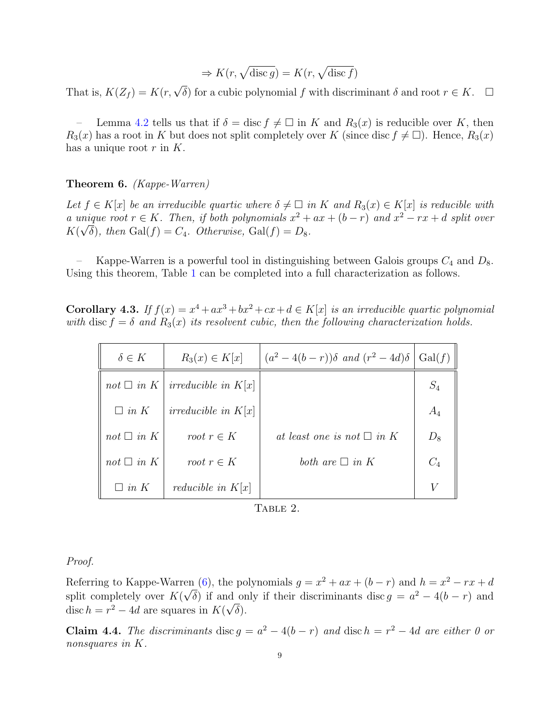$$
\Rightarrow K(r, \sqrt{\text{disc }g}) = K(r, \sqrt{\text{disc }f})
$$

That is,  $K(Z_f) = K(r, \sqrt{\delta})$  for a cubic polynomial f with discriminant  $\delta$  and root  $r \in K$ .  $\Box$ 

– Lemma [4.2](#page-7-0) tells us that if  $\delta = \text{disc } f \neq \square$  in K and  $R_3(x)$  is reducible over K, then  $R_3(x)$  has a root in K but does not split completely over K (since disc  $f \neq \Box$ ). Hence,  $R_3(x)$ has a unique root  $r$  in  $K$ .

<span id="page-8-0"></span>Theorem 6. (Kappe-Warren)

Let  $f \in K[x]$  be an irreducible quartic where  $\delta \neq \Box$  in K and  $R_3(x) \in K[x]$  is reducible with a unique root  $r \in K$ . Then, if both polynomials  $x^2 + ax + (b - r)$  and  $x^2 - rx + d$  split over  $K(\sqrt{\delta})$ , then  $Gal(f) = C_4$ . Otherwise,  $Gal(f) = D_8$ .

– Kappe-Warren is a powerful tool in distinguishing between Galois groups  $C_4$  and  $D_8$ . Using this theorem, Table [1](#page-5-1) can be completed into a full characterization as follows.

<span id="page-8-1"></span>**Corollary 4.3.** If  $f(x) = x^4 + ax^3 + bx^2 + cx + d \in K[x]$  is an irreducible quartic polynomial with disc  $f = \delta$  and  $R_3(x)$  its resolvent cubic, then the following characterization holds.

| $\delta \in K$  | $R_3(x) \in K[x]$            | $(a^2-4(b-r))\delta$ and $(r^2-4d)\delta$ | Gal(f) |
|-----------------|------------------------------|-------------------------------------------|--------|
| not $\Box$ in K | <i>irreducible in</i> $K[x]$ |                                           | $S_4$  |
| $\Box$ in K     | <i>irreducible in</i> $K[x]$ |                                           | $A_4$  |
| not $\Box$ in K | root $r \in K$               | at least one is not $\square$ in K        | $D_8$  |
| not $\Box$ in K | root $r \in K$               | both are $\Box$ in K                      | $C_4$  |
| $\Box$ in K     | <i>reducible in</i> $K[x]$   |                                           |        |

TABLE 2.

## Proof.

Referring to Kappe-Warren [\(6\)](#page-8-0), the polynomials  $g = x^2 + ax + (b - r)$  and  $h = x^2 - rx + d$ split completely over  $K(\sqrt{\delta})$  if and only if their discriminants disc  $g = a^2 - 4(b - r)$  and disc  $h = r^2 - 4d$  are squares in  $K(\sqrt{\delta}).$ 

**Claim 4.4.** The discriminants disc  $g = a^2 - 4(b - r)$  and disc  $h = r^2 - 4d$  are either 0 or nonsquares in K.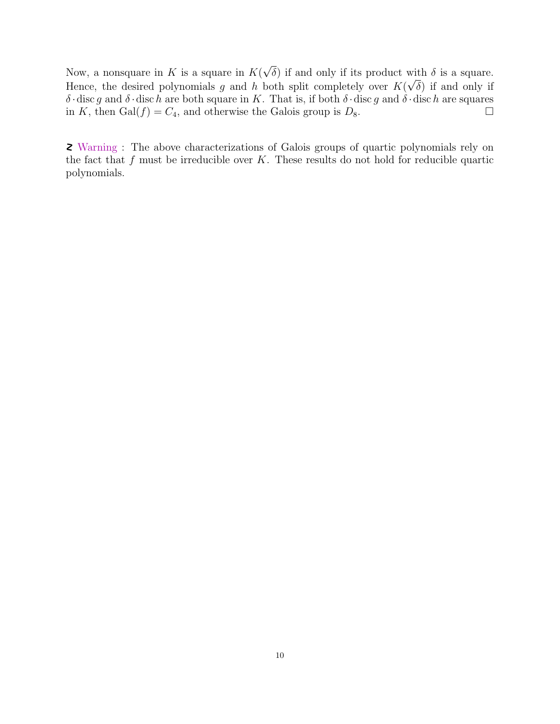Now, a nonsquare in  $K$  is a square in  $K($ √ δ) if and only if its product with δ is a square. √ Hence, the desired polynomials g and h both split completely over  $K(\sqrt{\delta})$  if and only if δ · disc g and δ · disc h are both square in K. That is, if both δ · disc g and δ · disc h are squares in K, then Gal( $f$ ) =  $C_4$ , and otherwise the Galois group is  $D_8$ .

Warning : The above characterizations of Galois groups of quartic polynomials rely on the fact that  $f$  must be irreducible over  $K$ . These results do not hold for reducible quartic polynomials.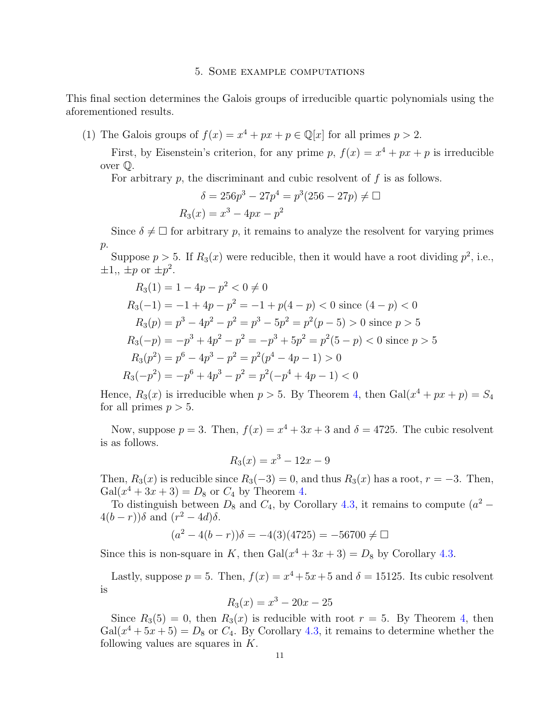### 5. Some example computations

This final section determines the Galois groups of irreducible quartic polynomials using the aforementioned results.

(1) The Galois groups of  $f(x) = x^4 + px + p \in \mathbb{Q}[x]$  for all primes  $p > 2$ .

First, by Eisenstein's criterion, for any prime p,  $f(x) = x^4 + px + p$  is irreducible over Q.

For arbitrary  $p$ , the discriminant and cubic resolvent of  $f$  is as follows.

$$
\delta = 256p^3 - 27p^4 = p^3(256 - 27p) \neq \Box
$$
  

$$
R_3(x) = x^3 - 4px - p^2
$$

Since  $\delta \neq \Box$  for arbitrary p, it remains to analyze the resolvent for varying primes  $p$ .

Suppose  $p > 5$ . If  $R_3(x)$  were reducible, then it would have a root dividing  $p^2$ , i.e.,  $\pm 1,$ ,  $\pm p$  or  $\pm p^2$ .

$$
R_3(1) = 1 - 4p - p^2 < 0 \neq 0
$$
\n
$$
R_3(-1) = -1 + 4p - p^2 = -1 + p(4 - p) < 0 \text{ since } (4 - p) < 0
$$
\n
$$
R_3(p) = p^3 - 4p^2 - p^2 = p^3 - 5p^2 = p^2(p - 5) > 0 \text{ since } p > 5
$$
\n
$$
R_3(-p) = -p^3 + 4p^2 - p^2 = -p^3 + 5p^2 = p^2(5 - p) < 0 \text{ since } p > 5
$$
\n
$$
R_3(p^2) = p^6 - 4p^3 - p^2 = p^2(p^4 - 4p - 1) > 0
$$
\n
$$
R_3(-p^2) = -p^6 + 4p^3 - p^2 = p^2(-p^4 + 4p - 1) < 0
$$

Hence,  $R_3(x)$  is irreducible when  $p > 5$ . By Theorem [4,](#page-5-0) then  $Gal(x^4 + px + p) = S_4$ for all primes  $p > 5$ .

Now, suppose  $p = 3$ . Then,  $f(x) = x^4 + 3x + 3$  and  $\delta = 4725$ . The cubic resolvent is as follows.

$$
R_3(x) = x^3 - 12x - 9
$$

Then,  $R_3(x)$  is reducible since  $R_3(-3) = 0$ , and thus  $R_3(x)$  has a root,  $r = -3$ . Then,  $Gal(x^{4} + 3x + 3) = D_{8}$  or  $C_{4}$  by Theorem [4.](#page-5-0)

To distinguish between  $D_8$  and  $C_4$ , by Corollary [4.3,](#page-8-1) it remains to compute  $(a^2 4(b-r)\delta$  and  $(r^2-4d)\delta$ .

$$
(a^2 - 4(b - r))\delta = -4(3)(4725) = -56700 \neq \square
$$

Since this is non-square in K, then  $Gal(x^4 + 3x + 3) = D_8$  by Corollary [4.3.](#page-8-1)

Lastly, suppose  $p = 5$ . Then,  $f(x) = x^4 + 5x + 5$  and  $\delta = 15125$ . Its cubic resolvent is

$$
R_3(x) = x^3 - 20x - 25
$$

Since  $R_3(5) = 0$ , then  $R_3(x)$  is reducible with root  $r = 5$ . By Theorem [4,](#page-5-0) then  $Gal(x^4 + 5x + 5) = D_8$  or  $C_4$ . By Corollary [4.3,](#page-8-1) it remains to determine whether the following values are squares in  $K$ .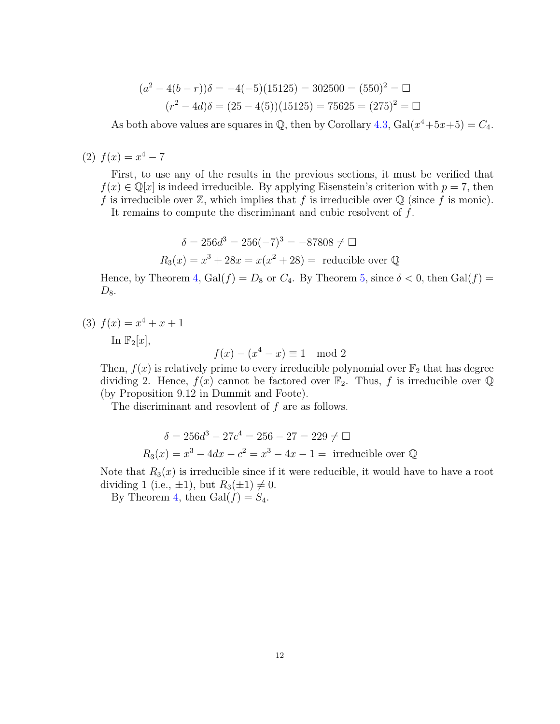$$
(a2 - 4(b - r))\delta = -4(-5)(15125) = 302500 = (550)2 = \Box
$$
  

$$
(r2 - 4d)\delta = (25 - 4(5))(15125) = 75625 = (275)2 = \Box
$$

As both above values are squares in  $\mathbb{Q}$ , then by Corollary [4.3,](#page-8-1)  $Gal(x^4+5x+5) = C_4$ .

(2)  $f(x) = x^4 - 7$ 

First, to use any of the results in the previous sections, it must be verified that  $f(x) \in \mathbb{Q}[x]$  is indeed irreducible. By applying Eisenstein's criterion with  $p = 7$ , then f is irreducible over  $\mathbb{Z}$ , which implies that f is irreducible over  $\mathbb{Q}$  (since f is monic).

It remains to compute the discriminant and cubic resolvent of f.

$$
\delta = 256d^3 = 256(-7)^3 = -87808 \neq \Box
$$
  

$$
R_3(x) = x^3 + 28x = x(x^2 + 28) =
$$
 reducible over Q

Hence, by Theorem [4,](#page-5-0)  $Gal(f) = D_8$  or  $C_4$ . By Theorem [5,](#page-7-1) since  $\delta < 0$ , then  $Gal(f)$  $D_8$ .

(3)  $f(x) = x^4 + x + 1$ 

In  $\mathbb{F}_2[x]$ ,

 $f(x) - (x^4 - x) \equiv 1 \mod 2$ 

Then,  $f(x)$  is relatively prime to every irreducible polynomial over  $\mathbb{F}_2$  that has degree dividing 2. Hence,  $f(x)$  cannot be factored over  $\mathbb{F}_2$ . Thus, f is irreducible over Q (by Proposition 9.12 in Dummit and Foote).

The discriminant and resovlent of  $f$  are as follows.

$$
\delta = 256d^3 - 27c^4 = 256 - 27 = 229 \neq \Box
$$
  

$$
R_3(x) = x^3 - 4dx - c^2 = x^3 - 4x - 1 =
$$
 irreducible over Q

Note that  $R_3(x)$  is irreducible since if it were reducible, it would have to have a root dividing 1 (i.e.,  $\pm 1$ ), but  $R_3(\pm 1) \neq 0$ .

By Theorem [4,](#page-5-0) then  $Gal(f) = S_4$ .